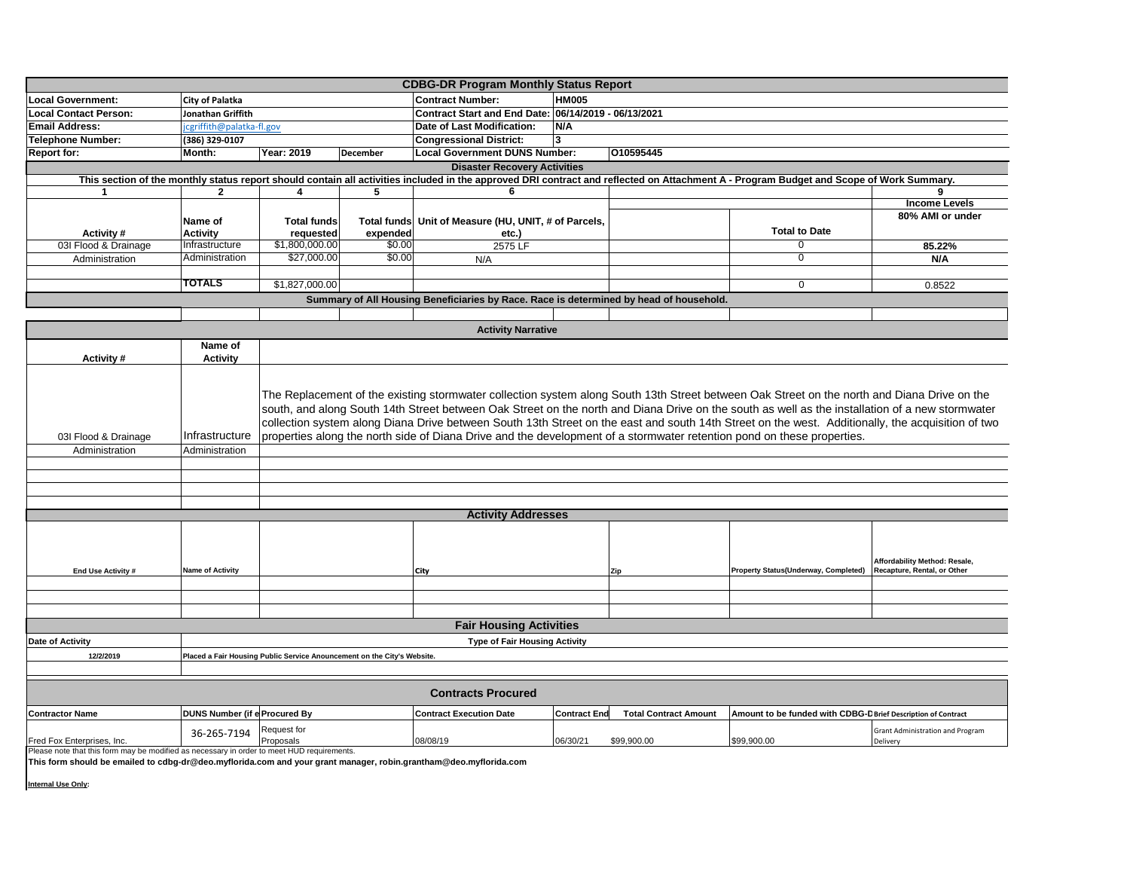| <b>CDBG-DR Program Monthly Status Report</b>                                                                                                                                                                    |                                                                                                                                                                                                                                                                                                                                                                                                                                                                                                                                                                                                                   |                          |                    |                                                      |                     |                              |                                                               |                                                              |
|-----------------------------------------------------------------------------------------------------------------------------------------------------------------------------------------------------------------|-------------------------------------------------------------------------------------------------------------------------------------------------------------------------------------------------------------------------------------------------------------------------------------------------------------------------------------------------------------------------------------------------------------------------------------------------------------------------------------------------------------------------------------------------------------------------------------------------------------------|--------------------------|--------------------|------------------------------------------------------|---------------------|------------------------------|---------------------------------------------------------------|--------------------------------------------------------------|
| <b>Local Government:</b>                                                                                                                                                                                        | <b>City of Palatka</b>                                                                                                                                                                                                                                                                                                                                                                                                                                                                                                                                                                                            |                          |                    | <b>Contract Number:</b>                              | <b>HM005</b>        |                              |                                                               |                                                              |
| <b>Local Contact Person:</b>                                                                                                                                                                                    | Jonathan Griffith                                                                                                                                                                                                                                                                                                                                                                                                                                                                                                                                                                                                 |                          |                    | Contract Start and End Date: 06/14/2019 - 06/13/2021 |                     |                              |                                                               |                                                              |
| <b>Email Address:</b>                                                                                                                                                                                           | cgriffith@palatka-fl.gov                                                                                                                                                                                                                                                                                                                                                                                                                                                                                                                                                                                          |                          |                    | Date of Last Modification:                           | N/A                 |                              |                                                               |                                                              |
| <b>Telephone Number:</b>                                                                                                                                                                                        | (386) 329-0107                                                                                                                                                                                                                                                                                                                                                                                                                                                                                                                                                                                                    |                          |                    | <b>Congressional District:</b>                       | 3                   |                              |                                                               |                                                              |
| <b>Report for:</b>                                                                                                                                                                                              | Month:                                                                                                                                                                                                                                                                                                                                                                                                                                                                                                                                                                                                            | Year: 2019               | December           | <b>Local Government DUNS Number:</b>                 |                     | 010595445                    |                                                               |                                                              |
| <b>Disaster Recovery Activities</b>                                                                                                                                                                             |                                                                                                                                                                                                                                                                                                                                                                                                                                                                                                                                                                                                                   |                          |                    |                                                      |                     |                              |                                                               |                                                              |
| This section of the monthly status report should contain all activities included in the approved DRI contract and reflected on Attachment A - Program Budget and Scope of Work Summary.                         |                                                                                                                                                                                                                                                                                                                                                                                                                                                                                                                                                                                                                   |                          |                    |                                                      |                     |                              |                                                               |                                                              |
| $\mathbf 1$                                                                                                                                                                                                     | $\mathbf{2}$                                                                                                                                                                                                                                                                                                                                                                                                                                                                                                                                                                                                      | 4                        | 5                  | 6                                                    |                     |                              |                                                               |                                                              |
|                                                                                                                                                                                                                 |                                                                                                                                                                                                                                                                                                                                                                                                                                                                                                                                                                                                                   |                          |                    |                                                      |                     |                              |                                                               | <b>Income Levels</b>                                         |
|                                                                                                                                                                                                                 | Name of                                                                                                                                                                                                                                                                                                                                                                                                                                                                                                                                                                                                           | <b>Total funds</b>       | <b>Total funds</b> | Unit of Measure (HU, UNIT, # of Parcels,             |                     |                              |                                                               | 80% AMI or under                                             |
| Activity #                                                                                                                                                                                                      | <b>Activity</b>                                                                                                                                                                                                                                                                                                                                                                                                                                                                                                                                                                                                   | requested                | expended           | etc.)                                                |                     |                              | <b>Total to Date</b>                                          |                                                              |
| 03I Flood & Drainage                                                                                                                                                                                            | Infrastructure                                                                                                                                                                                                                                                                                                                                                                                                                                                                                                                                                                                                    | \$1,800,000.00           | \$0.00             | 2575 LF                                              |                     |                              |                                                               | 85.22%                                                       |
| Administration                                                                                                                                                                                                  | Administration                                                                                                                                                                                                                                                                                                                                                                                                                                                                                                                                                                                                    | \$27,000.00              | \$0.00             | N/A                                                  |                     |                              | $\overline{0}$                                                | N/A                                                          |
|                                                                                                                                                                                                                 |                                                                                                                                                                                                                                                                                                                                                                                                                                                                                                                                                                                                                   |                          |                    |                                                      |                     |                              |                                                               |                                                              |
|                                                                                                                                                                                                                 | TOTALS                                                                                                                                                                                                                                                                                                                                                                                                                                                                                                                                                                                                            | \$1,827,000.00           |                    |                                                      |                     |                              | 0                                                             | 0.8522                                                       |
| Summary of All Housing Beneficiaries by Race. Race is determined by head of household.                                                                                                                          |                                                                                                                                                                                                                                                                                                                                                                                                                                                                                                                                                                                                                   |                          |                    |                                                      |                     |                              |                                                               |                                                              |
|                                                                                                                                                                                                                 |                                                                                                                                                                                                                                                                                                                                                                                                                                                                                                                                                                                                                   |                          |                    |                                                      |                     |                              |                                                               |                                                              |
| <b>Activity Narrative</b>                                                                                                                                                                                       |                                                                                                                                                                                                                                                                                                                                                                                                                                                                                                                                                                                                                   |                          |                    |                                                      |                     |                              |                                                               |                                                              |
|                                                                                                                                                                                                                 | Name of                                                                                                                                                                                                                                                                                                                                                                                                                                                                                                                                                                                                           |                          |                    |                                                      |                     |                              |                                                               |                                                              |
| Activity #                                                                                                                                                                                                      | <b>Activity</b>                                                                                                                                                                                                                                                                                                                                                                                                                                                                                                                                                                                                   |                          |                    |                                                      |                     |                              |                                                               |                                                              |
| 03I Flood & Drainage<br>Administration                                                                                                                                                                          | The Replacement of the existing stormwater collection system along South 13th Street between Oak Street on the north and Diana Drive on the<br>south, and along South 14th Street between Oak Street on the north and Diana Drive on the south as well as the installation of a new stormwater<br>collection system along Diana Drive between South 13th Street on the east and south 14th Street on the west. Additionally, the acquisition of two<br>Infrastructure<br>properties along the north side of Diana Drive and the development of a stormwater retention pond on these properties.<br>Administration |                          |                    |                                                      |                     |                              |                                                               |                                                              |
|                                                                                                                                                                                                                 |                                                                                                                                                                                                                                                                                                                                                                                                                                                                                                                                                                                                                   |                          |                    |                                                      |                     |                              |                                                               |                                                              |
|                                                                                                                                                                                                                 |                                                                                                                                                                                                                                                                                                                                                                                                                                                                                                                                                                                                                   |                          |                    |                                                      |                     |                              |                                                               |                                                              |
|                                                                                                                                                                                                                 |                                                                                                                                                                                                                                                                                                                                                                                                                                                                                                                                                                                                                   |                          |                    |                                                      |                     |                              |                                                               |                                                              |
|                                                                                                                                                                                                                 |                                                                                                                                                                                                                                                                                                                                                                                                                                                                                                                                                                                                                   |                          |                    |                                                      |                     |                              |                                                               |                                                              |
| <b>Activity Addresses</b>                                                                                                                                                                                       |                                                                                                                                                                                                                                                                                                                                                                                                                                                                                                                                                                                                                   |                          |                    |                                                      |                     |                              |                                                               |                                                              |
| End Use Activity #                                                                                                                                                                                              | <b>Name of Activity</b>                                                                                                                                                                                                                                                                                                                                                                                                                                                                                                                                                                                           |                          |                    | City                                                 |                     | Zip                          | Property Status(Underway, Completed)                          | Affordability Method: Resale,<br>Recapture, Rental, or Other |
|                                                                                                                                                                                                                 |                                                                                                                                                                                                                                                                                                                                                                                                                                                                                                                                                                                                                   |                          |                    |                                                      |                     |                              |                                                               |                                                              |
|                                                                                                                                                                                                                 |                                                                                                                                                                                                                                                                                                                                                                                                                                                                                                                                                                                                                   |                          |                    |                                                      |                     |                              |                                                               |                                                              |
|                                                                                                                                                                                                                 |                                                                                                                                                                                                                                                                                                                                                                                                                                                                                                                                                                                                                   |                          |                    | <b>Fair Housing Activities</b>                       |                     |                              |                                                               |                                                              |
| Date of Activity                                                                                                                                                                                                |                                                                                                                                                                                                                                                                                                                                                                                                                                                                                                                                                                                                                   |                          |                    |                                                      |                     |                              |                                                               |                                                              |
| <b>Type of Fair Housing Activity</b>                                                                                                                                                                            |                                                                                                                                                                                                                                                                                                                                                                                                                                                                                                                                                                                                                   |                          |                    |                                                      |                     |                              |                                                               |                                                              |
| 12/2/2019<br>Placed a Fair Housing Public Service Anouncement on the City's Website.                                                                                                                            |                                                                                                                                                                                                                                                                                                                                                                                                                                                                                                                                                                                                                   |                          |                    |                                                      |                     |                              |                                                               |                                                              |
| <b>Contracts Procured</b>                                                                                                                                                                                       |                                                                                                                                                                                                                                                                                                                                                                                                                                                                                                                                                                                                                   |                          |                    |                                                      |                     |                              |                                                               |                                                              |
| <b>Contractor Name</b>                                                                                                                                                                                          | <b>DUNS Number (if e Procured By</b>                                                                                                                                                                                                                                                                                                                                                                                                                                                                                                                                                                              |                          |                    | <b>Contract Execution Date</b>                       | <b>Contract End</b> | <b>Total Contract Amount</b> | Amount to be funded with CDBG-D Brief Description of Contract |                                                              |
| Fred Fox Enterprises, Inc.                                                                                                                                                                                      | 36-265-7194                                                                                                                                                                                                                                                                                                                                                                                                                                                                                                                                                                                                       | Request for<br>Proposals |                    | 08/08/19                                             | 06/30/21            | \$99,900.00                  | \$99,900.00                                                   | <b>Grant Administration and Program</b><br>Delivery          |
| Please note that this form may be modified as necessary in order to meet HUD requirements.<br>This form should be emailed to cdbg-dr@deo.myflorida.com and your grant manager, robin.grantham@deo.myflorida.com |                                                                                                                                                                                                                                                                                                                                                                                                                                                                                                                                                                                                                   |                          |                    |                                                      |                     |                              |                                                               |                                                              |

**Internal Use Only:**